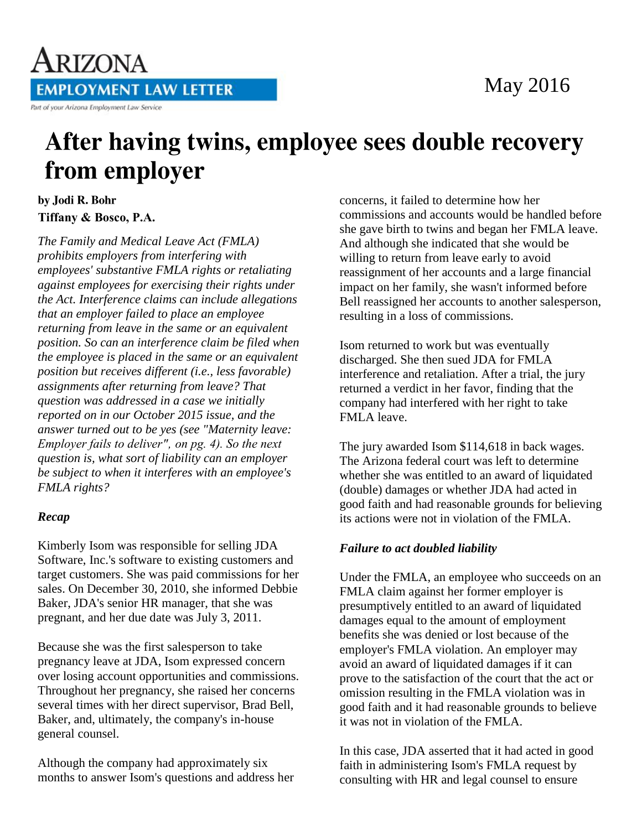

## ARIZONA **EMPLOYMENT LAW LETTER** Part of your Arizona Employment Law Service

# After having twins, employee sees double recovery from employer

by Jodi R. Bohr **Tiffany & Bosco, P.A.**

*The Family and Medical Leave Act (FMLA) prohibits employers from interfering with employees' substantive FMLA rights or retaliating against employees for exercising their rights under the Act. Interference claims can include allegations that an employer failed to place an employee returning from leave in the same or an equivalent position. So can an interference claim be filed when the employee is placed in the same or an equivalent position but receives different (i.e., less favorable) assignments after returning from leave? That question was addressed in a case we initially reported on in our October 2015 issue, and the answer turned out to be yes (see "Maternity leave: Employer fails to deliver", on pg. 4). So the next question is, what sort of liability can an employer be subject to when it interferes with an employee's FMLA rights?*

### *Recap*

Kimberly Isom was responsible for selling JDA Software, Inc.'s software to existing customers and target customers. She was paid commissions for her sales. On December 30, 2010, she informed Debbie Baker, JDA's senior HR manager, that she was pregnant, and her due date was July 3, 2011.

Because she was the first salesperson to take pregnancy leave at JDA, Isom expressed concern over losing account opportunities and commissions. Throughout her pregnancy, she raised her concerns several times with her direct supervisor, Brad Bell, Baker, and, ultimately, the company's in-house general counsel.

Although the company had approximately six months to answer Isom's questions and address her concerns, it failed to determine how her commissions and accounts would be handled before she gave birth to twins and began her FMLA leave. And although she indicated that she would be willing to return from leave early to avoid reassignment of her accounts and a large financial impact on her family, she wasn't informed before Bell reassigned her accounts to another salesperson, resulting in a loss of commissions.

Isom returned to work but was eventually discharged. She then sued JDA for FMLA interference and retaliation. After a trial, the jury returned a verdict in her favor, finding that the company had interfered with her right to take FMLA leave.

The jury awarded Isom \$114,618 in back wages. The Arizona federal court was left to determine whether she was entitled to an award of liquidated (double) damages or whether JDA had acted in good faith and had reasonable grounds for believing its actions were not in violation of the FMLA.

### *Failure to act doubled liability*

Under the FMLA, an employee who succeeds on an FMLA claim against her former employer is presumptively entitled to an award of liquidated damages equal to the amount of employment benefits she was denied or lost because of the employer's FMLA violation. An employer may avoid an award of liquidated damages if it can prove to the satisfaction of the court that the act or omission resulting in the FMLA violation was in good faith and it had reasonable grounds to believe it was not in violation of the FMLA.

In this case, JDA asserted that it had acted in good faith in administering Isom's FMLA request by consulting with HR and legal counsel to ensure